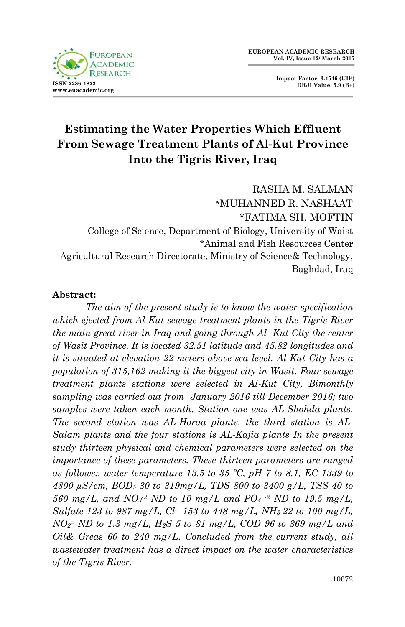

**Impact Factor: 3.4546 (UIF) DRJI Value: 5.9 (B+)**

# **Estimating the Water Properties Which Effluent From Sewage Treatment Plants of Al-Kut Province Into the Tigris River, Iraq**

RASHA M. SALMAN **\***MUHANNED R. NASHAAT \*FATIMA SH. MOFTIN College of Science, Department of Biology, University of Waist \*Animal and Fish Resources Center Agricultural Research Directorate, Ministry of Science& Technology, Baghdad, Iraq

#### **Abstract:**

*The aim of the present study is to know the water specification which ejected from Al-Kut sewage treatment plants in the Tigris River the main great river in Iraq and going through Al- Kut City the center of Wasit Province. It is located 32.51 latitude and 45.82 longitudes and it is situated at elevation 22 meters above sea level. Al Kut City has a population of 315,162 making it the biggest city in Wasit. Four sewage treatment plants stations were selected in Al-Kut City, Bimonthly sampling was carried out from January 2016 till December 2016; two samples were taken each month. Station one was AL-Shohda plants. The second station was AL-Horaa plants, the third station is AL-Salam plants and the four stations is AL-Kajia plants In the present study thirteen physical and chemical parameters were selected on the importance of these parameters. These thirteen parameters are ranged as follows:, water temperature 13.5 to 35 ºC, pH 7 to 8.1, EC 1339 to 4800 µS/cm, BOD<sup>5</sup> 30 to 319mg/L, TDS 800 to 3400 g/L, TSS 40 to 560 mg/L, and NO<sup>3</sup> -2 ND to 10 mg/L and PO<sup>4</sup> -2 ND to 19.5 mg/L, Sulfate 123 to 987 mg/L, Cl- 153 to 448 mg/L, NH3 22 to 100 mg/L, NO<sup>2</sup> <sup>=</sup> ND to 1.3 mg/L, H2S 5 to 81 mg/L, COD 96 to 369 mg/L and Oil& Greas 60 to 240 mg/L. Concluded from the current study, all wastewater treatment has a direct impact on the water characteristics of the Tigris River.*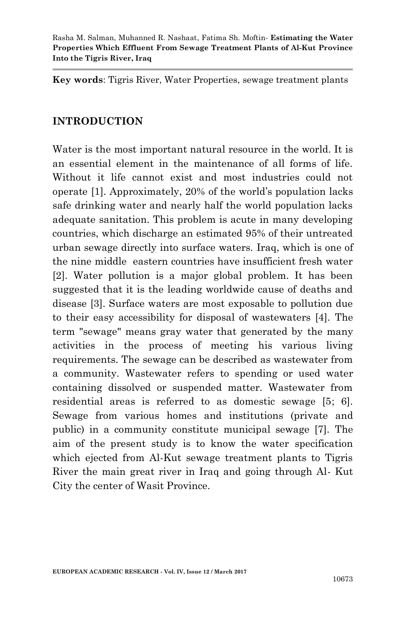**Key words**: Tigris River, Water Properties, sewage treatment plants

## **INTRODUCTION**

Water is the most important natural resource in the world. It is an essential element in the maintenance of all forms of life. Without it life cannot exist and most industries could not operate [1]. Approximately, 20% of the world's population lacks safe drinking water and nearly half the world population lacks adequate sanitation. This problem is acute in many developing countries, which discharge an estimated 95% of their untreated urban sewage directly into surface waters. Iraq, which is one of the nine middle eastern countries have insufficient fresh water [2]. Water pollution is a major global problem. It has been suggested that it is the leading worldwide cause of deaths and disease [3]. Surface waters are most exposable to pollution due to their easy accessibility for disposal of wastewaters [4]. The term "sewage" means gray water that generated by the many activities in the process of meeting his various living requirements. The sewage can be described as wastewater from a community. Wastewater refers to spending or used water containing dissolved or suspended matter. Wastewater from residential areas is referred to as domestic sewage [5; 6]. Sewage from various homes and institutions (private and public) in a community constitute municipal sewage [7]. The aim of the present study is to know the water specification which ejected from Al-Kut sewage treatment plants to Tigris River the main great river in Iraq and going through Al- Kut City the center of Wasit Province.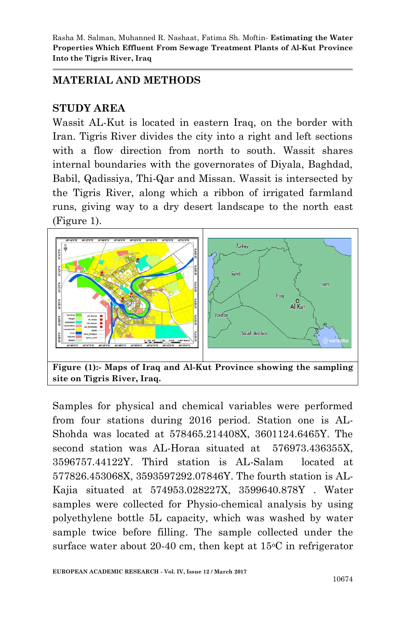# **MATERIAL AND METHODS**

## **STUDY AREA**

Wassit AL-Kut is located in eastern Iraq, on the border with Iran. Tigris River divides the city into a right and left sections with a flow direction from north to south. Wassit shares internal boundaries with the governorates of Diyala, Baghdad, Babil, Qadissiya, Thi-Qar and Missan. Wassit is intersected by the Tigris River, along which a ribbon of irrigated farmland runs, giving way to a dry desert landscape to the north east (Figure 1).



Samples for physical and chemical variables were performed from four stations during 2016 period. Station one is AL-Shohda was located at 578465.214408X, 3601124.6465Y. The second station was AL-Horaa situated at 576973.436355X, 3596757.44122Y. Third station is AL-Salam located at 577826.453068X, 3593597292.07846Y. The fourth station is AL-Kajia situated at 574953.028227X, 3599640.878Y . Water samples were collected for Physio-chemical analysis by using polyethylene bottle 5L capacity, which was washed by water sample twice before filling. The sample collected under the surface water about 20-40 cm, then kept at  $15^{\circ}$ C in refrigerator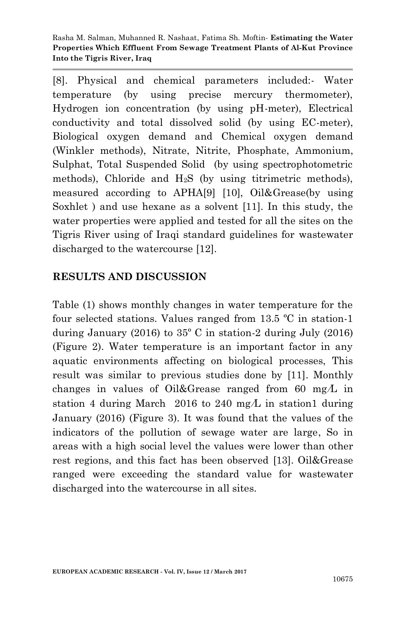[8]. Physical and chemical parameters included:- Water temperature (by using precise mercury thermometer), Hydrogen ion concentration (by using pH-meter), Electrical conductivity and total dissolved solid (by using EC-meter), Biological oxygen demand and Chemical oxygen demand (Winkler methods), Nitrate, Nitrite, Phosphate, Ammonium, Sulphat, Total Suspended Solid (by using spectrophotometric methods), Chloride and H2S (by using titrimetric methods), measured according to APHA[9] [10], Oil&Grease(by using Soxhlet ) and use hexane as a solvent [11]. In this study, the water properties were applied and tested for all the sites on the Tigris River using of Iraqi standard guidelines for wastewater discharged to the watercourse [12].

#### **RESULTS AND DISCUSSION**

Table (1) shows monthly changes in water temperature for the four selected stations. Values ranged from 13.5 ºC in station-1 during January (2016) to 35º C in station-2 during July (2016) (Figure 2). Water temperature is an important factor in any aquatic environments affecting on biological processes, This result was similar to previous studies done by [11]. Monthly changes in values of Oil&Grease ranged from 60 mg $\Lambda$  in station 4 during March 2016 to 240 mg $\Lambda$  in station1 during January (2016) (Figure 3). It was found that the values of the indicators of the pollution of sewage water are large, So in areas with a high social level the values were lower than other rest regions, and this fact has been observed [13]. Oil&Grease ranged were exceeding the standard value for wastewater discharged into the watercourse in all sites.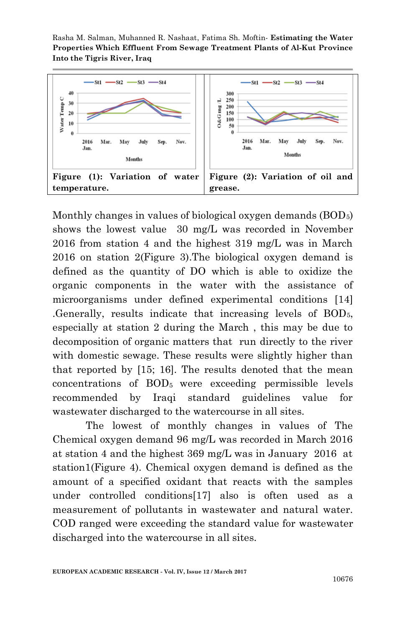

Monthly changes in values of biological oxygen demands (BOD<sub>5</sub>) shows the lowest value 30 mg/L was recorded in November 2016 from station 4 and the highest 319 mg/L was in March 2016 on station 2(Figure 3).The biological oxygen demand is defined as the quantity of DO which is able to oxidize the organic components in the water with the assistance of microorganisms under defined experimental conditions [14] .Generally, results indicate that increasing levels of BOD5, especially at station 2 during the March , this may be due to decomposition of organic matters that run directly to the river with domestic sewage. These results were slightly higher than that reported by [15; 16]. The results denoted that the mean concentrations of BOD5 were exceeding permissible levels recommended by Iraqi standard guidelines value for wastewater discharged to the watercourse in all sites.

The lowest of monthly changes in values of The Chemical oxygen demand 96 mg/L was recorded in March 2016 at station 4 and the highest 369 mg/L was in January 2016 at station1(Figure 4). Chemical oxygen demand is defined as the amount of a specified oxidant that reacts with the samples under controlled conditions[17] also is often used as a measurement of pollutants in wastewater and natural water. COD ranged were exceeding the standard value for wastewater discharged into the watercourse in all sites.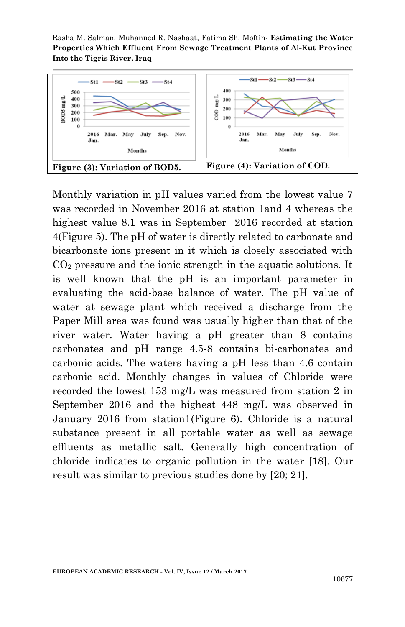

Monthly variation in pH values varied from the lowest value 7 was recorded in November 2016 at station 1and 4 whereas the highest value 8.1 was in September 2016 recorded at station 4(Figure 5). The pH of water is directly related to carbonate and bicarbonate ions present in it which is closely associated with  $CO<sub>2</sub>$  pressure and the ionic strength in the aquatic solutions. It is well known that the pH is an important parameter in evaluating the acid-base balance of water. The pH value of water at sewage plant which received a discharge from the Paper Mill area was found was usually higher than that of the river water. Water having a pH greater than 8 contains carbonates and pH range 4.5-8 contains bi-carbonates and carbonic acids. The waters having a pH less than 4.6 contain carbonic acid. Monthly changes in values of Chloride were recorded the lowest 153 mg/L was measured from station 2 in September 2016 and the highest 448 mg/L was observed in January 2016 from station1(Figure 6). Chloride is a natural substance present in all portable water as well as sewage effluents as metallic salt. Generally high concentration of chloride indicates to organic pollution in the water [18]. Our result was similar to previous studies done by [20; 21].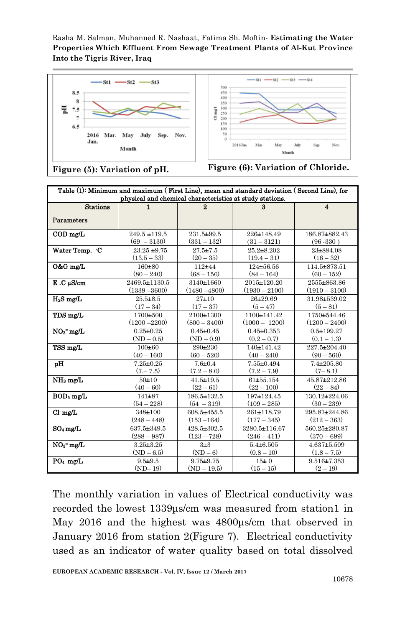

| Table (1): Minimum and maximum (First Line), mean and standard deviation (Second Line), for<br>physical and chemical characteristics at study stations. |                 |                 |                  |                  |
|---------------------------------------------------------------------------------------------------------------------------------------------------------|-----------------|-----------------|------------------|------------------|
| <b>Stations</b>                                                                                                                                         | 1               | 2               | 3                | $\blacktriangle$ |
| Parameters                                                                                                                                              |                 |                 |                  |                  |
|                                                                                                                                                         |                 |                 |                  |                  |
| $\text{COD}$ mg/L                                                                                                                                       | 249.5 ±119.5    | 231.5±99.5      | 226±148.49       | 186.87±882.43    |
|                                                                                                                                                         | $(69 - 3130)$   | $(331 - 132)$   | $(31 - 3121)$    | $(96 - 330)$     |
| Water Temp. °C                                                                                                                                          | $23.25 + 9.75$  | $27.5 + 7.5$    | $25.2 + 8.202$   | 23±884.08        |
|                                                                                                                                                         | $(13.5 - 33)$   | $(20-35)$       | $(19.4 - 31)$    | $(16-32)$        |
| O&G mg/L                                                                                                                                                | 160±80          | $112 + 44$      | 124±56.56        | 114.5±873.51     |
|                                                                                                                                                         | $(80 - 240)$    | $(68 - 156)$    | $(84 - 164)$     | $(60 - 152)$     |
| $E.C$ $\mu$ S/cm                                                                                                                                        | 2469.5±1130.5   | 3140±1660       | 2015±120.20      | 2555±863.86      |
|                                                                                                                                                         | $(1339 - 3600)$ | $(1480 - 4800)$ | $(1930 - 2100)$  | $(1910 - 3100)$  |
| $H_2S$ mg/L                                                                                                                                             | $25.5 + 8.5$    | $27 + 10$       | 26±29.69         | 31.98±539.02     |
|                                                                                                                                                         | $(17-34)$       | $(17-37)$       | $(5 - 47)$       | $(5 - 81)$       |
| TDS mg/L                                                                                                                                                | 1700±500        | 2100±1300       | 1100±141.42      | 1750±544.46      |
|                                                                                                                                                         | $(1200 - 2200)$ | $(800 - 3400)$  | $(1000 - 1200)$  | $(1200 - 2400)$  |
| $NO2$ = mg/L                                                                                                                                            | $0.25 + 0.25$   | $0.45 \pm 0.45$ | $0.45 \pm 0.353$ | $0.5 + 199.27$   |
|                                                                                                                                                         | $(ND - 0.5)$    | $(ND - 0.9)$    | $(0.2 - 0.7)$    | $(0.1 - 1.3)$    |
| TSS mg/L                                                                                                                                                | 100±60          | $290 + 230$     | 140±141.42       | 227.5±204.40     |
|                                                                                                                                                         | $(40 - 160)$    | $(60 - 520)$    | $(40 - 240)$     | $(90 - 560)$     |
| pH                                                                                                                                                      | $7.25 \pm 0.25$ | $7.6 \pm 0.4$   | $7.55 \pm 0.494$ | $7.4 \pm 205.80$ |
|                                                                                                                                                         | $(7 - 7.5)$     | $(7.2 - 8.0)$   | $(7.2 - 7.9)$    | $(7-8.1)$        |
| $NH3$ mg/L                                                                                                                                              | $50 + 10$       | $41.5 \pm 19.5$ | 61±55.154        | 45.87±212.86     |
|                                                                                                                                                         | $(40 - 60)$     | $(22 - 61)$     | $(22 - 100)$     | $(22 - 84)$      |
| $BOD_5$ mg/L                                                                                                                                            | $141 + 87$      | 186.5±132.5     | 197±124.45       | 130.12±224.06    |
|                                                                                                                                                         | $(54 - 228)$    | $(54 - 319)$    | $(109 - 285)$    | $(30 - 239)$     |
| $Cl$ mg/L                                                                                                                                               | 348±100         | 608.5±455.5     | 261±118.79       | 295.87±244.86    |
|                                                                                                                                                         | $(248 - 448)$   | $(153 - 164)$   | $(177-345)$      | $(212 - 363)$    |
| $SO_4$ mg/L                                                                                                                                             | 637.5±349.5     | 428.5±302.5     | 3280.5±116.67    | 560.25±280.87    |
|                                                                                                                                                         | $(288 - 987)$   | $(123 - 728)$   | $(246 - 411)$    | $(370 - 699)$    |
| $NO3$ mg/L                                                                                                                                              | $3.25 + 3.25$   | 313             | $5.4 \pm 6.505$  | $4.637 + 5.509$  |
|                                                                                                                                                         | $(ND - 6.5)$    | $(ND - 6)$      | $(0.8 - 10)$     | $(1.8 - 7.5)$    |
| $PO4$ mg/L                                                                                                                                              | $9.5 + 9.5$     | $9.75 + 9.75$   | $15 = 0$         | $9.516 + 7.353$  |
|                                                                                                                                                         | $(ND-19)$       | $(ND - 19.5)$   | $(15 - 15)$      | $(2 - 19)$       |

The monthly variation in values of Electrical conductivity was recorded the lowest 1339μs/cm was measured from station1 in May 2016 and the highest was 4800μs/cm that observed in January 2016 from station 2(Figure 7). Electrical conductivity used as an indicator of water quality based on total dissolved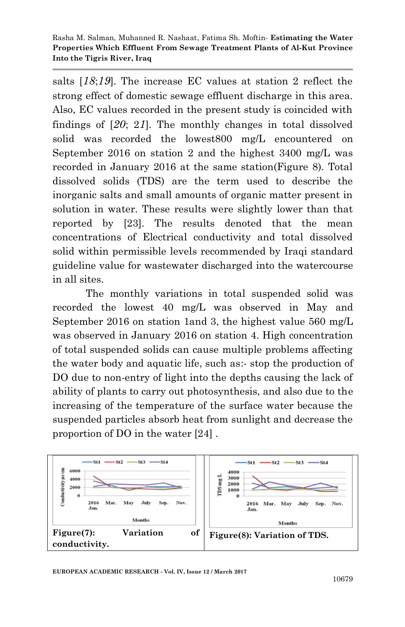salts [*81*;*81*]. The increase EC values at station 2 reflect the strong effect of domestic sewage effluent discharge in this area. Also, EC values recorded in the present study is coincided with findings of  $[20; 21]$ . The monthly changes in total dissolved solid was recorded the lowest800 mg/L encountered on September 2016 on station 2 and the highest 3400 mg/L was recorded in January 2016 at the same station(Figure 8). Total dissolved solids (TDS) are the term used to describe the inorganic salts and small amounts of organic matter present in solution in water. These results were slightly lower than that reported by [23]. The results denoted that the mean concentrations of Electrical conductivity and total dissolved solid within permissible levels recommended by Iraqi standard guideline value for wastewater discharged into the watercourse in all sites.

The monthly variations in total suspended solid was recorded the lowest 40 mg/L was observed in May and September 2016 on station 1and 3, the highest value 560 mg/L was observed in January 2016 on station 4. High concentration of total suspended solids can cause multiple problems affecting the water body and aquatic life, such as:- stop the production of DO due to non-entry of light into the depths causing the lack of ability of plants to carry out photosynthesis, and also due to the increasing of the temperature of the surface water because the suspended particles absorb heat from sunlight and decrease the proportion of DO in the water [24] .

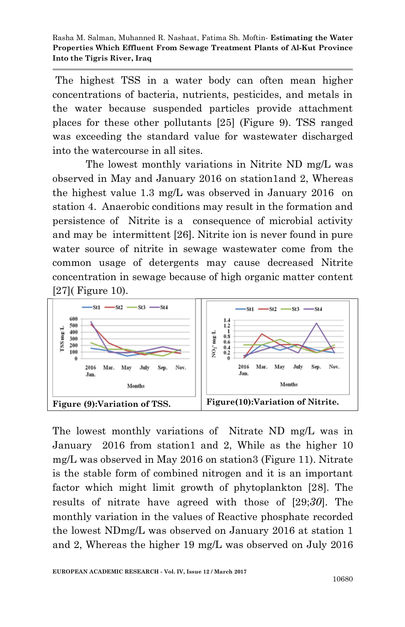The highest TSS in a water body can often mean higher concentrations of bacteria, nutrients, pesticides, and metals in the water because suspended particles provide attachment places for these other pollutants [25] (Figure 9). TSS ranged was exceeding the standard value for wastewater discharged into the watercourse in all sites.

The lowest monthly variations in Nitrite ND mg/L was observed in May and January 2016 on station1and 2, Whereas the highest value 1.3 mg/L was observed in January 2016 on station 4. Anaerobic conditions may result in the formation and persistence of Nitrite is a consequence of microbial activity and may be intermittent [26]. Nitrite ion is never found in pure water source of nitrite in sewage wastewater come from the common usage of detergents may cause decreased Nitrite concentration in sewage because of high organic matter content [27]( Figure 10).



The lowest monthly variations of Nitrate ND mg/L was in January 2016 from station1 and 2, While as the higher 10 mg/L was observed in May 2016 on station3 (Figure 11). Nitrate is the stable form of combined nitrogen and it is an important factor which might limit growth of phytoplankton [28]. The results of nitrate have agreed with those of [29;*02*]. The monthly variation in the values of Reactive phosphate recorded the lowest NDmg/L was observed on January 2016 at station 1 and 2, Whereas the higher 19 mg/L was observed on July 2016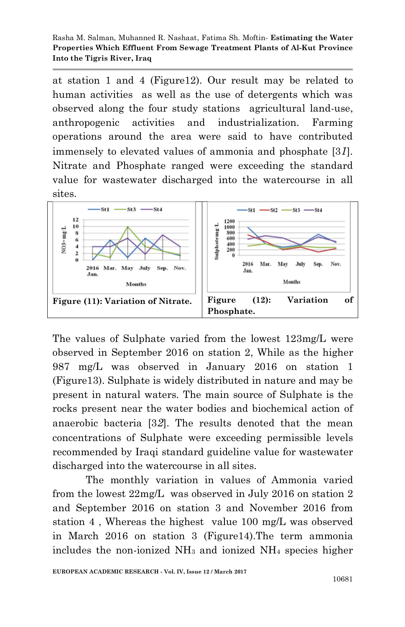at station 1 and 4 (Figure12). Our result may be related to human activities as well as the use of detergents which was observed along the four study stations agricultural land-use, anthropogenic activities and industrialization. Farming operations around the area were said to have contributed immensely to elevated values of ammonia and phosphate [3*8*]. Nitrate and Phosphate ranged were exceeding the standard value for wastewater discharged into the watercourse in all sites.



The values of Sulphate varied from the lowest 123mg/L were observed in September 2016 on station 2, While as the higher 987 mg/L was observed in January 2016 on station 1 (Figure13). Sulphate is widely distributed in nature and may be present in natural waters. The main source of Sulphate is the rocks present near the water bodies and biochemical action of anaerobic bacteria [3*0*]. The results denoted that the mean concentrations of Sulphate were exceeding permissible levels recommended by Iraqi standard guideline value for wastewater discharged into the watercourse in all sites.

The monthly variation in values of Ammonia varied from the lowest 22mg/L was observed in July 2016 on station 2 and September 2016 on station 3 and November 2016 from station 4 , Whereas the highest value 100 mg/L was observed in March 2016 on station 3 (Figure14).The term ammonia includes the non-ionized  $NH<sub>3</sub>$  and ionized  $NH<sub>4</sub>$  species higher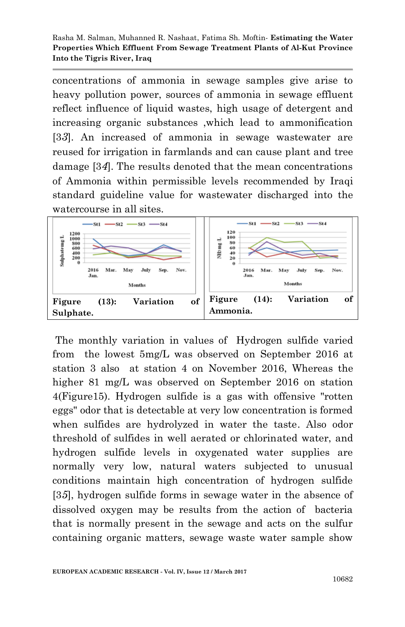concentrations of ammonia in sewage samples give arise to heavy pollution power, sources of ammonia in sewage effluent reflect influence of liquid wastes, high usage of detergent and increasing organic substances ,which lead to ammonification [3*0*]. An increased of ammonia in sewage wastewater are reused for irrigation in farmlands and can cause plant and tree damage [3*4*]. The results denoted that the mean concentrations of Ammonia within permissible levels recommended by Iraqi standard guideline value for wastewater discharged into the watercourse in all sites.



The monthly variation in values of Hydrogen sulfide varied from the lowest 5mg/L was observed on September 2016 at station 3 also at station 4 on November 2016, Whereas the higher 81 mg/L was observed on September 2016 on station 4(Figure15). Hydrogen sulfide is a gas with offensive "rotten eggs" odor that is detectable at very low concentration is formed when sulfides are hydrolyzed in water the taste. Also odor threshold of sulfides in well aerated or chlorinated water, and hydrogen sulfide levels in oxygenated water supplies are normally very low, natural waters subjected to unusual conditions maintain high concentration of hydrogen sulfide [3*5*], hydrogen sulfide forms in sewage water in the absence of dissolved oxygen may be results from the action of bacteria that is normally present in the sewage and acts on the sulfur containing organic matters, sewage waste water sample show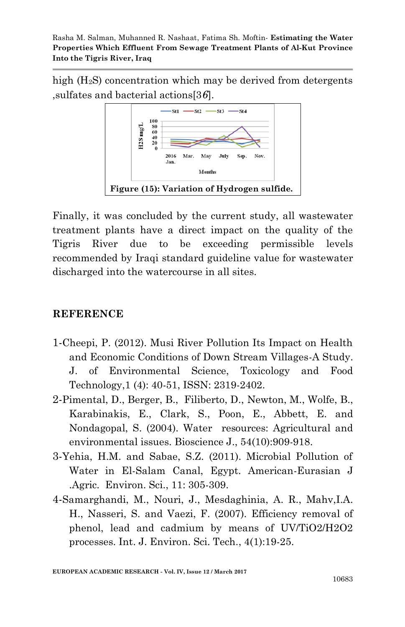high (H<sub>2</sub>S) concentration which may be derived from detergents ,sulfates and bacterial actions[3*6*].



Finally, it was concluded by the current study, all wastewater treatment plants have a direct impact on the quality of the Tigris River due to be exceeding permissible levels recommended by Iraqi standard guideline value for wastewater discharged into the watercourse in all sites.

# **REFERENCE**

- 1-Cheepi, P. (2012). Musi River Pollution Its Impact on Health and Economic Conditions of Down Stream Villages-A Study. J. of Environmental Science, Toxicology and Food Technology,1 (4): 40-51, ISSN: 2319-2402.
- 2-Pimental, D., Berger, B., Filiberto, D., Newton, M., Wolfe, B., Karabinakis, E., Clark, S., Poon, E., Abbett, E. and Nondagopal, S. (2004). Water resources: Agricultural and environmental issues. Bioscience J., 54(10):909-918.
- 3-Yehia, H.M. and Sabae, S.Z. (2011). Microbial Pollution of Water in El-Salam Canal, Egypt. American-Eurasian J .Agric. Environ. Sci., 11: 305-309.
- 4-Samarghandi, M., Nouri, J., Mesdaghinia, A. R., Mahv,I.A. H., Nasseri, S. and Vaezi, F. (2007). Efficiency removal of phenol, lead and cadmium by means of UV/TiO2/H2O2 processes. Int. J. Environ. Sci. Tech., 4(1):19-25.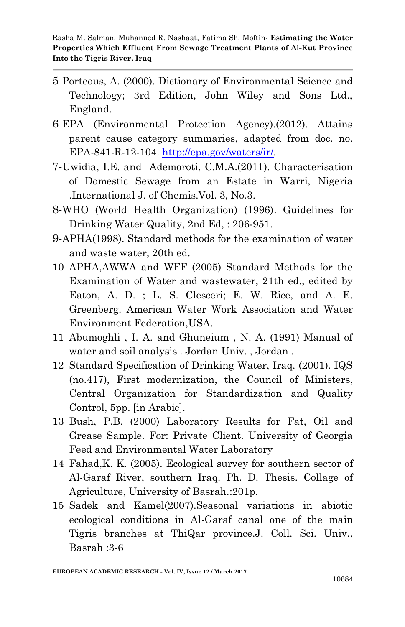- 5-Porteous, A. (2000). Dictionary of Environmental Science and Technology; 3rd Edition, John Wiley and Sons Ltd., England.
- 6-EPA (Environmental Protection Agency).(2012). Attains parent cause category summaries, adapted from doc. no. EPA-841-R-12-104.<http://epa.gov/waters/ir/>*.*
- 7-Uwidia, I.E. and Ademoroti, C.M.A.(2011). Characterisation of Domestic Sewage from an Estate in Warri, Nigeria .International J. of Chemis.Vol. 3, No.3.
- 8-WHO (World Health Organization) (1996). Guidelines for Drinking Water Quality, 2nd Ed, : 206-951.
- 9-APHA(1998). Standard methods for the examination of water and waste water, 20th ed.
- 10 APHA,AWWA and WFF (2005) Standard Methods for the Examination of Water and wastewater, 21th ed., edited by Eaton, A. D. ; L. S. Clesceri; E. W. Rice, and A. E. Greenberg. American Water Work Association and Water Environment Federation,USA.
- 11 Abumoghli , I. A. and Ghuneium , N. A. (1991) Manual of water and soil analysis . Jordan Univ. , Jordan .
- 12 Standard Specification of Drinking Water, Iraq. (2001). IQS (no.417), First modernization, the Council of Ministers, Central Organization for Standardization and Quality Control, 5pp. [in Arabic].
- 13 Bush, P.B. (2000) Laboratory Results for Fat, Oil and Grease Sample. For: Private Client. University of Georgia Feed and Environmental Water Laboratory
- 14 Fahad,K. K. (2005). Ecological survey for southern sector of Al-Garaf River, southern Iraq. Ph. D. Thesis. Collage of Agriculture, University of Basrah.:201p.
- 15 Sadek and Kamel(2007).Seasonal variations in abiotic ecological conditions in Al-Garaf canal one of the main Tigris branches at ThiQar province.J. Coll. Sci. Univ., Basrah :3-6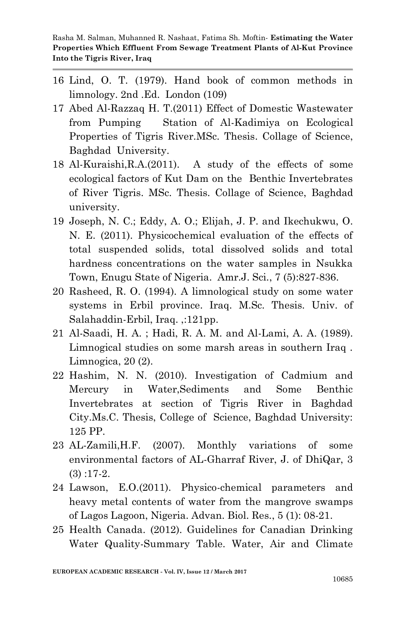- 16 Lind, O. T. (1979). Hand book of common methods in limnology. 2nd .Ed. London (109)
- 17 Abed Al-Razzaq H. T.(2011) Effect of Domestic Wastewater from Pumping Station of Al-Kadimiya on Ecological Properties of Tigris River.MSc. Thesis. Collage of Science, Baghdad University.
- 18 Al-Kuraishi,R.A.(2011). A study of the effects of some ecological factors of Kut Dam on the Benthic Invertebrates of River Tigris. MSc. Thesis. Collage of Science, Baghdad university.
- 19 Joseph, N. C.; Eddy, A. O.; Elijah, J. P. and Ikechukwu, O. N. E. (2011). Physicochemical evaluation of the effects of total suspended solids, total dissolved solids and total hardness concentrations on the water samples in Nsukka Town, Enugu State of Nigeria. Amr.J. Sci., 7 (5):827-836.
- 20 Rasheed, R. O. (1994). A limnological study on some water systems in Erbil province. Iraq. M.Sc. Thesis. Univ. of Salahaddin-Erbil, Iraq. ,:121pp.
- 21 Al-Saadi, H. A. ; Hadi, R. A. M. and Al-Lami, A. A. (1989). Limnogical studies on some marsh areas in southern Iraq . Limnogica, 20 (2).
- 22 Hashim, N. N. (2010). Investigation of Cadmium and Mercury in Water,Sediments and Some Benthic Invertebrates at section of Tigris River in Baghdad City.Ms.C. Thesis, College of Science, Baghdad University: 125 PP.
- 23 AL-Zamili,H.F. (2007). Monthly variations of some environmental factors of AL-Gharraf River, J. of DhiQar, 3  $(3)$ :17-2.
- 24 Lawson, E.O.(2011). Physico-chemical parameters and heavy metal contents of water from the mangrove swamps of Lagos Lagoon, Nigeria. Advan. Biol. Res., 5 (1): 08-21.
- 25 Health Canada. (2012). Guidelines for Canadian Drinking Water Quality-Summary Table. Water, Air and Climate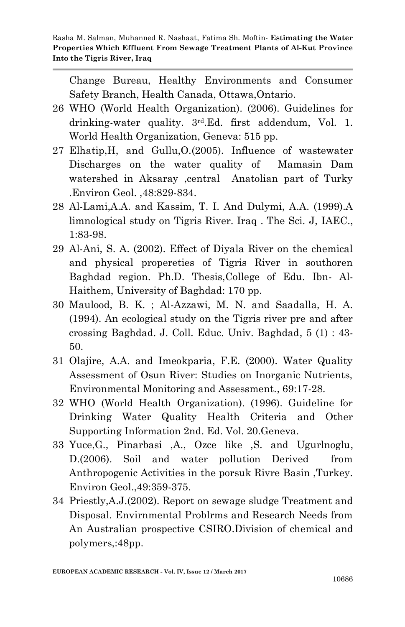Change Bureau, Healthy Environments and Consumer Safety Branch, Health Canada, Ottawa,Ontario.

- 26 WHO (World Health Organization). (2006). Guidelines for drinking-water quality. 3rd.Ed. first addendum, Vol. 1. World Health Organization, Geneva: 515 pp.
- 27 Elhatip,H, and Gullu,O.(2005). Influence of wastewater Discharges on the water quality of Mamasin Dam watershed in Aksaray ,central Anatolian part of Turky .Environ Geol. ,48:829-834.
- 28 Al-Lami,A.A. and Kassim, T. I. And Dulymi, A.A. (1999).A limnological study on Tigris River. Iraq . The Sci. J, IAEC., 1:83-98.
- 29 Al-Ani, S. A. (2002). Effect of Diyala River on the chemical and physical propereties of Tigris River in southoren Baghdad region. Ph.D. Thesis,College of Edu. Ibn- Al-Haithem, University of Baghdad: 170 pp.
- 30 Maulood, B. K. ; Al-Azzawi, M. N. and Saadalla, H. A. (1994). An ecological study on the Tigris river pre and after crossing Baghdad. J. Coll. Educ. Univ. Baghdad, 5 (1) : 43- 50.
- 31 Olajire, A.A. and Imeokparia, F.E. (2000). Water Quality Assessment of Osun River: Studies on Inorganic Nutrients, Environmental Monitoring and Assessment., 69:17-28.
- 32 WHO (World Health Organization). (1996). Guideline for Drinking Water Quality Health Criteria and Other Supporting Information 2nd. Ed. Vol. 20.Geneva.
- 33 Yuce,G., Pinarbasi ,A., Ozce like ,S. and Ugurlnoglu, D.(2006). Soil and water pollution Derived from Anthropogenic Activities in the porsuk Rivre Basin ,Turkey. Environ Geol.,49:359-375.
- 34 Priestly,A.J.(2002). Report on sewage sludge Treatment and Disposal. Envirnmental Problrms and Research Needs from An Australian prospective CSIRO.Division of chemical and polymers,:48pp.